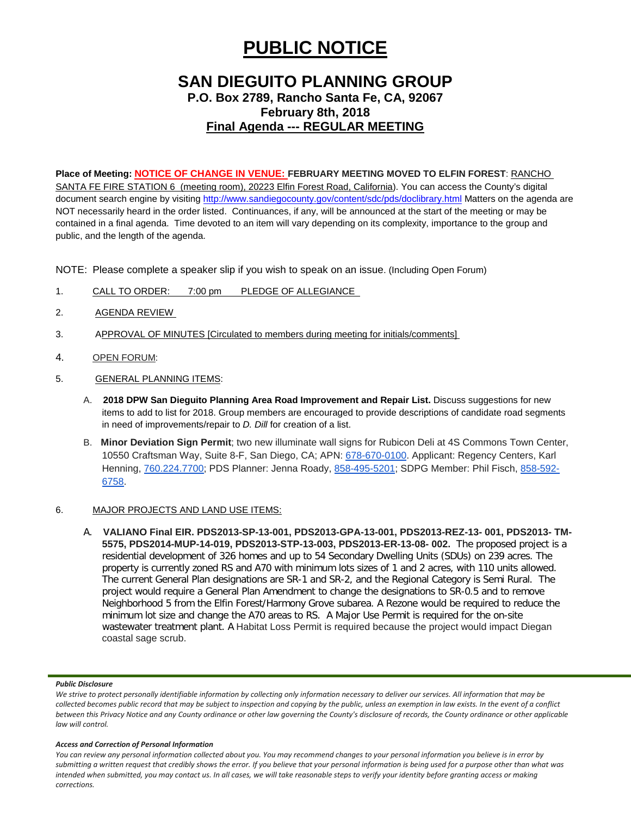# **PUBLIC NOTICE**

## **SAN DIEGUITO PLANNING GROUP**

## **P.O. Box 2789, Rancho Santa Fe, CA, 92067 February 8th, 2018 Final Agenda --- REGULAR MEETING**

## **Place of Meeting: NOTICE OF CHANGE IN VENUE: FEBRUARY MEETING MOVED TO ELFIN FOREST**: RANCHO

SANTA FE FIRE STATION 6 (meeting room), 20223 Elfin Forest Road, California). You can access the County's digital document search engine by visiting<http://www.sandiegocounty.gov/content/sdc/pds/doclibrary.html> Matters on the agenda are NOT necessarily heard in the order listed. Continuances, if any, will be announced at the start of the meeting or may be contained in a final agenda. Time devoted to an item will vary depending on its complexity, importance to the group and public, and the length of the agenda.

NOTE: Please complete a speaker slip if you wish to speak on an issue. (Including Open Forum)

- 1. CALL TO ORDER: 7:00 pm PLEDGE OF ALLEGIANCE
- 2. AGENDA REVIEW
- 3. APPROVAL OF MINUTES [Circulated to members during meeting for initials/comments]
- 4. OPEN FORUM:
- 5. GENERAL PLANNING ITEMS:
	- A. **2018 DPW San Dieguito Planning Area Road Improvement and Repair List.** Discuss suggestions for new items to add to list for 2018. Group members are encouraged to provide descriptions of candidate road segments in need of improvements/repair to *D. Dill* for creation of a list.
	- B. **Minor Deviation Sign Permit**; two new illuminate wall signs for Rubicon Deli at 4S Commons Town Center, 10550 Craftsman Way, Suite 8-F, San Diego, CA; APN: [678-670-0100.](tel:(678)%20670-0100) Applicant: Regency Centers, Karl Henning, [760.224.7700;](tel:(760)%20224-7700) PDS Planner: Jenna Roady, [858-495-5201;](tel:(858)%20495-5201) SDPG Member: Phil Fisch, [858-592-](tel:(858)%20592-6758) [6758.](tel:(858)%20592-6758)

### 6. MAJOR PROJECTS AND LAND USE ITEMS:

A. **VALIANO Final EIR. PDS2013-SP-13-001, PDS2013-GPA-13-001, PDS2013-REZ-13- 001, PDS2013- TM-5575, PDS2014-MUP-14-019, PDS2013-STP-13-003, PDS2013-ER-13-08- 002.** The proposed project is a residential development of 326 homes and up to 54 Secondary Dwelling Units (SDUs) on 239 acres. The property is currently zoned RS and A70 with minimum lots sizes of 1 and 2 acres, with 110 units allowed. The current General Plan designations are SR-1 and SR-2, and the Regional Category is Semi Rural. The project would require a General Plan Amendment to change the designations to SR-0.5 and to remove Neighborhood 5 from the Elfin Forest/Harmony Grove subarea. A Rezone would be required to reduce the minimum lot size and change the A70 areas to RS. A Major Use Permit is required for the on-site wastewater treatment plant. A Habitat Loss Permit is required because the project would impact Diegan coastal sage scrub.

#### *Public Disclosure*

#### *Access and Correction of Personal Information*

*You can review any personal information collected about you. You may recommend changes to your personal information you believe is in error by submitting a written request that credibly shows the error. If you believe that your personal information is being used for a purpose other than what was intended when submitted, you may contact us. In all cases, we will take reasonable steps to verify your identity before granting access or making corrections.*

*We strive to protect personally identifiable information by collecting only information necessary to deliver our services. All information that may be collected becomes public record that may be subject to inspection and copying by the public, unless an exemption in law exists. In the event of a conflict between this Privacy Notice and any County ordinance or other law governing the County's disclosure of records, the County ordinance or other applicable law will control.*